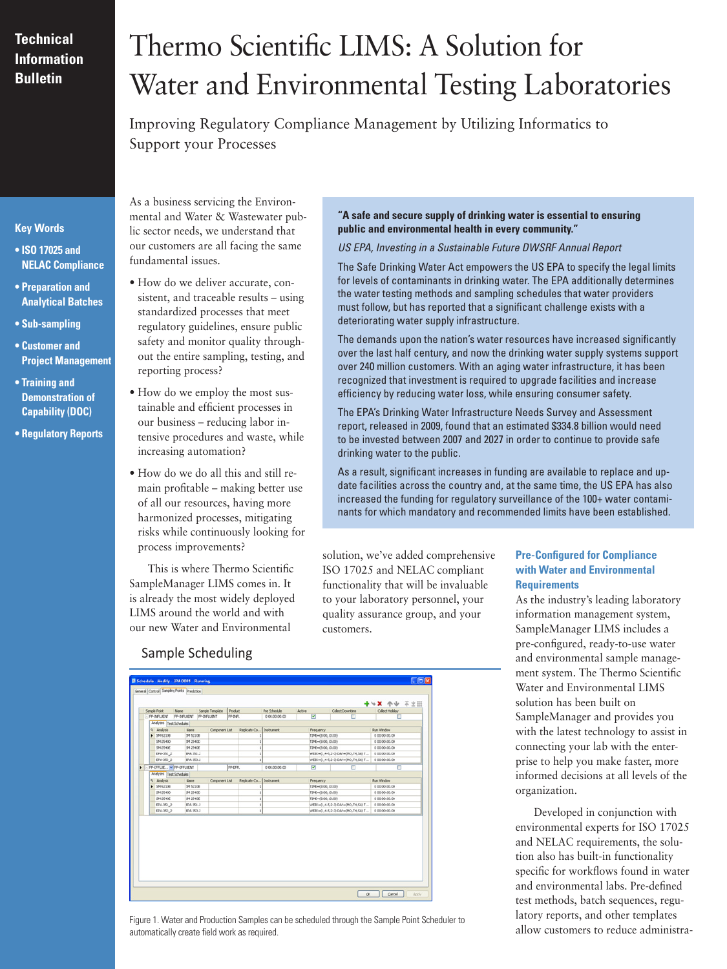# **Technical Information Bulletin**

# Thermo Scientific LIMS: A Solution for Water and Environmental Testing Laboratories

Improving Regulatory Compliance Management by Utilizing Informatics to Support your Processes

#### **Key Words**

- **ISO 17025 and NELAC Compliance**
- **Preparation and Analytical Batches**
- **Sub-sampling**
- **Customer and Project Management**
- **Training and Demonstration of Capability (DOC)**
- **Regulatory Reports**

#### As a business servicing the Environmental and Water & Wastewater public sector needs, we understand that our customers are all facing the same fundamental issues.

- How do we deliver accurate, consistent, and traceable results – using standardized processes that meet regulatory guidelines, ensure public safety and monitor quality throughout the entire sampling, testing, and reporting process?
- How do we employ the most sustainable and efficient processes in our business – reducing labor intensive procedures and waste, while increasing automation?
- How do we do all this and still remain profitable – making better use of all our resources, having more harmonized processes, mitigating risks while continuously looking for process improvements?

This is where Thermo Scientific SampleManager LIMS comes in. It is already the most widely deployed LIMS around the world and with our new Water and Environmental

# edule - Modify - EPA 0001 - Re **This**  $A + b$ Name Sample Template Product<br>PP-DVFLUENT PP-DVFLUENT PP-DVFL 5M 52108<br>5M 25400<br>5M 2540E<br>EPA 351.2<br>EPA 353.2 342540<br>542540<br>EPA-351<br>EPA-353 **PP-EP**  $\frac{1}{2}$ SPR100<br>SM25400<br>SM25400<br>EM-351  $\fbox{\begin{tabular}{|c|c|c|} \hline $\alpha$ & \multicolumn{3}{|c|}{\hline \hline $\alpha$ & $\mathbf{Q}^{\mathsf{R}}$ & $\mathbf{Q}^{\mathsf{R}}$ \\ \hline \hline $\mathsf{Q}^{\mathsf{R}}$ & $\mathsf{Q}^{\mathsf{R}}$ & $\mathsf{Q}^{\mathsf{R}}$ & $\mathsf{Q}^{\mathsf{R}}$ \\ \hline \end{tabular} \vspace{5pt} \begin{tabular}{|c|c|c|} \hline $\mathsf{Q}^{\mathsf{R}}$ & $\mathsf{Q}^{\mathsf{R}}$ & $\mathsf{Q}^{\mathsf{R}}$ & $\math$

# Sample Scheduling

#### Figure 1. Water and Production Samples can be scheduled through the Sample Point Scheduler to automatically create field work as required.

#### **"A safe and secure supply of drinking water is essential to ensuring public and environmental health in every community."**

#### *US EPA, Investing in a Sustainable Future DWSRF Annual Report*

The Safe Drinking Water Act empowers the US EPA to specify the legal limits for levels of contaminants in drinking water. The EPA additionally determines the water testing methods and sampling schedules that water providers must follow, but has reported that a significant challenge exists with a deteriorating water supply infrastructure.

The demands upon the nation's water resources have increased significantly over the last half century, and now the drinking water supply systems support over 240 million customers. With an aging water infrastructure, it has been recognized that investment is required to upgrade facilities and increase efficiency by reducing water loss, while ensuring consumer safety.

The EPA's Drinking Water Infrastructure Needs Survey and Assessment report, released in 2009, found that an estimated \$334.8 billion would need to be invested between 2007 and 2027 in order to continue to provide safe drinking water to the public.

As a result, significant increases in funding are available to replace and update facilities across the country and, at the same time, the US EPA has also increased the funding for regulatory surveillance of the 100+ water contaminants for which mandatory and recommended limits have been established.

solution, we've added comprehensive ISO 17025 and NELAC compliant functionality that will be invaluable to your laboratory personnel, your quality assurance group, and your customers.

#### **Pre-Configured for Compliance with Water and Environmental Requirements**

As the industry's leading laboratory information management system, SampleManager LIMS includes a pre-configured, ready-to-use water and environmental sample management system. The Thermo Scientific Water and Environmental LIMS solution has been built on SampleManager and provides you with the latest technology to assist in connecting your lab with the enterprise to help you make faster, more informed decisions at all levels of the organization.

Developed in conjunction with environmental experts for ISO 17025 and NELAC requirements, the solution also has built-in functionality specific for workflows found in water and environmental labs. Pre-defined test methods, batch sequences, regulatory reports, and other templates allow customers to reduce administra-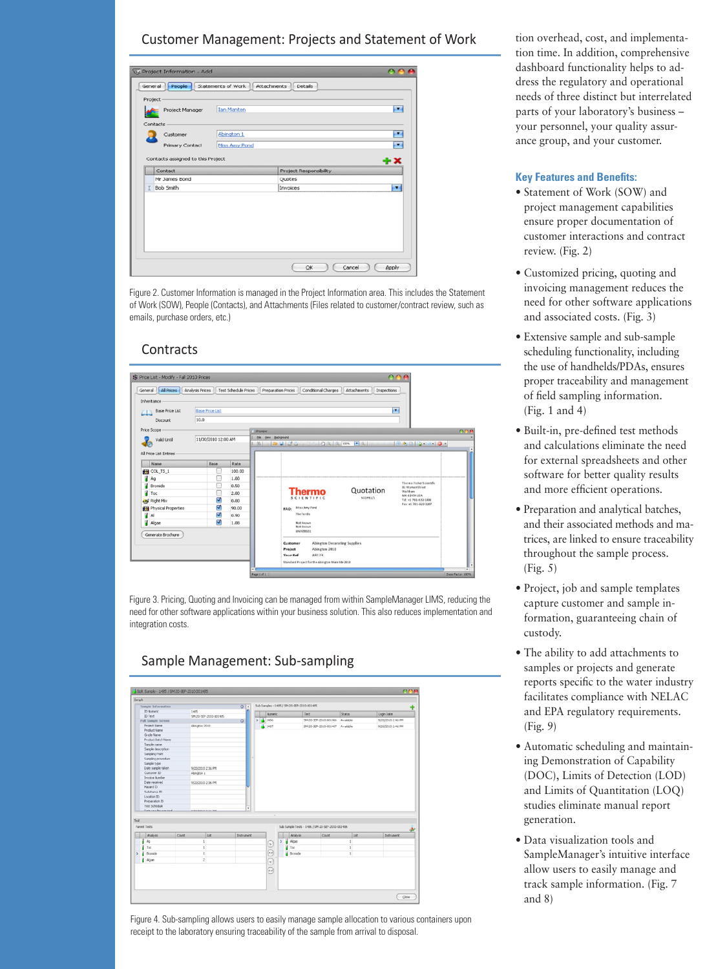# Customer Management: Projects and Statement of Work

|         | General                                      | People Statements of Work Attachments | Details                                 |                          |
|---------|----------------------------------------------|---------------------------------------|-----------------------------------------|--------------------------|
| Project | Project Manager                              | <b>Ian Manten</b>                     |                                         | ×                        |
|         | Contacts<br>Customer                         | Abington 1                            |                                         | ×                        |
|         | Primary Contact                              | Miss Amy Pond                         |                                         | ×                        |
|         | Contacts assigned to this Project<br>Contact |                                       |                                         |                          |
|         | Mr James Bond                                |                                       | <b>Project Responsibility</b><br>Quotes |                          |
|         | I Bob Smith                                  |                                       | Invoices                                | $\overline{\phantom{a}}$ |
|         |                                              |                                       |                                         |                          |

Figure 2. Customer Information is managed in the Project Information area. This includes the Statement of Work (SOW), People (Contacts), and Attachments (Files related to customer/contract review, such as emails, purchase orders, etc.)

# **Contracts**



Figure 3. Pricing, Quoting and Invoicing can be managed from within SampleManager LIMS, reducing the need for other software applications within your business solution. This also reduces implementation and integration costs.

| Sangle                                      |                       |                |        |                |                                            |                                                  |              |                   |    |
|---------------------------------------------|-----------------------|----------------|--------|----------------|--------------------------------------------|--------------------------------------------------|--------------|-------------------|----|
| Sample Information                          |                       | $Q$ $\cdot$    |        |                | Sub Samples - 1485 / SM-20-SEP-2010-001485 |                                                  |              |                   |    |
| ID Numeric                                  | 1485                  |                |        |                |                                            |                                                  |              |                   |    |
| <b>20 Year</b>                              | 5M-20-5EP-2010-000 MS |                |        | <b>Numeric</b> |                                            | <b>Test</b>                                      | <b>Suite</b> | Login Date        |    |
| Full Sample Screen                          |                       | $\circ$        | 5.1406 |                |                                            | 5M-2D-5EP-2010-001406                            | Available    | 9/20/2010 2:46 PM |    |
| <b>Protect Name</b>                         | Abington 2010         |                | A 1487 |                |                                            | 3M-20-SEP-2010-001487 Available                  |              | 9/20/2010 2:46 PM |    |
| <b>Product Name</b>                         |                       |                |        |                |                                            |                                                  |              |                   |    |
| Grade Name                                  |                       |                |        |                |                                            |                                                  |              |                   |    |
| <b>Product Batch Name</b>                   |                       |                |        |                |                                            |                                                  |              |                   |    |
| Sangle name                                 |                       |                |        |                |                                            |                                                  |              |                   |    |
| Sangle description                          |                       |                |        |                |                                            |                                                  |              |                   |    |
| Sampling Point                              |                       |                |        |                |                                            |                                                  |              |                   |    |
| Sampling procedure                          |                       |                |        |                |                                            |                                                  |              |                   |    |
| Sample type                                 |                       |                |        |                |                                            |                                                  |              |                   |    |
| Date sample taken                           | 9/20/2010 2:36 PM     |                |        |                |                                            |                                                  |              |                   |    |
| Customer 20                                 | Abington 1            |                |        |                |                                            |                                                  |              |                   |    |
|                                             |                       |                |        |                |                                            |                                                  |              |                   |    |
| <b>Invoice Number</b>                       |                       |                |        |                |                                            |                                                  |              |                   |    |
| Date received                               |                       |                |        |                |                                            |                                                  |              |                   |    |
| Hannel ID                                   | 9/20/2010 2:36 PM     |                |        |                |                                            |                                                  |              |                   |    |
| Substance ID                                |                       |                |        |                |                                            |                                                  |              |                   |    |
| Location ID                                 |                       |                |        |                |                                            |                                                  |              |                   |    |
|                                             |                       |                |        |                |                                            |                                                  |              |                   |    |
| Preparation ID                              |                       |                |        |                |                                            |                                                  |              |                   |    |
| Test Schedule<br><b>Data con Associated</b> | APARTMENT ALAMA       | $\blacksquare$ |        |                |                                            |                                                  |              |                   |    |
|                                             |                       |                |        |                |                                            |                                                  |              |                   |    |
|                                             |                       |                |        |                |                                            |                                                  |              |                   |    |
| $1+2$<br><b>Parent Tests</b>                |                       |                |        |                |                                            | Sub Sangle Tests - 1486 / SPI-20-SEP-2010-001486 |              |                   |    |
|                                             |                       |                |        |                |                                            |                                                  |              |                   | ىق |
| Analysis                                    | Court.<br>lue         | Instrument     |        |                | Analysis                                   | Count                                            | lue          | Industries        |    |
| Ag                                          | ı.                    |                |        | $\mathcal{F}$  | т<br>Algae                                 |                                                  | s.           |                   |    |
| т<br>Toc                                    | ×.                    |                |        | ℮              | 14.7                                       |                                                  | $\mathbb{R}$ |                   |    |
| и<br>Bronide                                | $\mathbb I$           |                |        |                | <b>Bonide</b>                              |                                                  | $\mathbb{R}$ |                   |    |
|                                             |                       |                |        | $\odot$        |                                            |                                                  |              |                   |    |
| Algon                                       | $\mathbb{R}^2$        |                |        |                |                                            |                                                  |              |                   |    |
|                                             |                       |                |        |                |                                            |                                                  |              |                   |    |
|                                             |                       |                |        | $\odot$        |                                            |                                                  |              |                   |    |
|                                             |                       |                |        |                |                                            |                                                  |              |                   |    |
|                                             |                       |                |        |                |                                            |                                                  |              |                   |    |

# Sample Management: Sub-sampling

Figure 4. Sub-sampling allows users to easily manage sample allocation to various containers upon receipt to the laboratory ensuring traceability of the sample from arrival to disposal.

tion overhead, cost, and implementation time. In addition, comprehensive dashboard functionality helps to address the regulatory and operational needs of three distinct but interrelated parts of your laboratory's business – your personnel, your quality assurance group, and your customer.

#### **Key Features and Benefits:**

- Statement of Work (SOW) and project management capabilities ensure proper documentation of customer interactions and contract review. (Fig. 2)
- Customized pricing, quoting and invoicing management reduces the need for other software applications and associated costs. (Fig. 3)
- Extensive sample and sub-sample scheduling functionality, including the use of handhelds/PDAs, ensures proper traceability and management of field sampling information. (Fig. 1 and 4)
- Built-in, pre-defined test methods and calculations eliminate the need for external spreadsheets and other software for better quality results and more efficient operations.
- Preparation and analytical batches, and their associated methods and matrices, are linked to ensure traceability throughout the sample process. (Fig. 5)
- Project, job and sample templates capture customer and sample information, guaranteeing chain of custody.
- The ability to add attachments to samples or projects and generate reports specific to the water industry facilitates compliance with NELAC and EPA regulatory requirements. (Fig. 9)
- Automatic scheduling and maintaining Demonstration of Capability (DOC), Limits of Detection (LOD) and Limits of Quantitation (LOQ) studies eliminate manual report generation.
- Data visualization tools and SampleManager's intuitive interface allow users to easily manage and track sample information. (Fig. 7 and 8)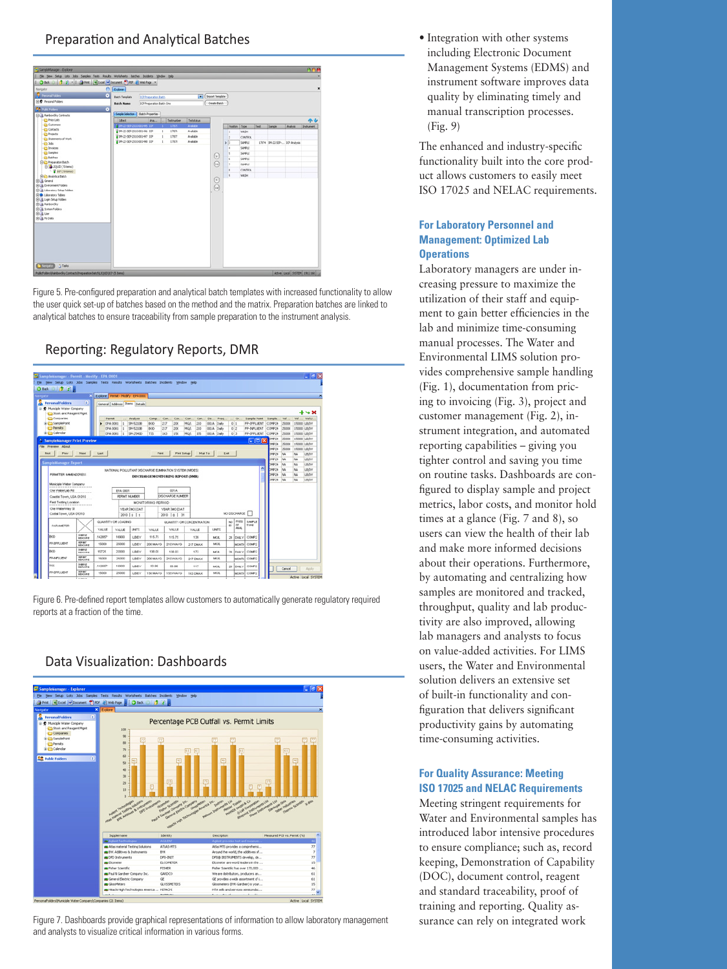# Preparation and Analytical Batches



Figure 5. Pre-configured preparation and analytical batch templates with increased functionality to allow the user quick set-up of batches based on the method and the matrix. Preparation batches are linked to analytical batches to ensure traceability from sample preparation to the instrument analysis.



Reporting: Regulatory Reports, DMR

Figure 6. Pre-defined report templates allow customers to automatically generate regulatory required reports at a fraction of the time.



# Data Visualization: Dashboards

Figure 7. Dashboards provide graphical representations of information to allow laboratory management and analysts to visualize critical information in various forms.

• Integration with other systems including Electronic Document Management Systems (EDMS) and instrument software improves data quality by eliminating timely and manual transcription processes. (Fig. 9)

The enhanced and industry-specific functionality built into the core product allows customers to easily meet ISO 17025 and NELAC requirements.

#### **For Laboratory Personnel and Management: Optimized Lab Operations**

Laboratory managers are under increasing pressure to maximize the utilization of their staff and equipment to gain better efficiencies in the lab and minimize time-consuming manual processes. The Water and Environmental LIMS solution provides comprehensive sample handling (Fig. 1), documentation from pricing to invoicing (Fig. 3), project and customer management (Fig. 2), instrument integration, and automated reporting capabilities – giving you tighter control and saving you time on routine tasks. Dashboards are configured to display sample and project metrics, labor costs, and monitor hold times at a glance (Fig. 7 and 8), so users can view the health of their lab and make more informed decisions about their operations. Furthermore, by automating and centralizing how samples are monitored and tracked, throughput, quality and lab productivity are also improved, allowing lab managers and analysts to focus on value-added activities. For LIMS users, the Water and Environmental solution delivers an extensive set of built-in functionality and configuration that delivers significant productivity gains by automating time-consuming activities.

# **For Quality Assurance: Meeting ISO 17025 and NELAC Requirements**

Meeting stringent requirements for Water and Environmental samples has introduced labor intensive procedures to ensure compliance; such as, record keeping, Demonstration of Capability (DOC), document control, reagent and standard traceability, proof of training and reporting. Quality assurance can rely on integrated work